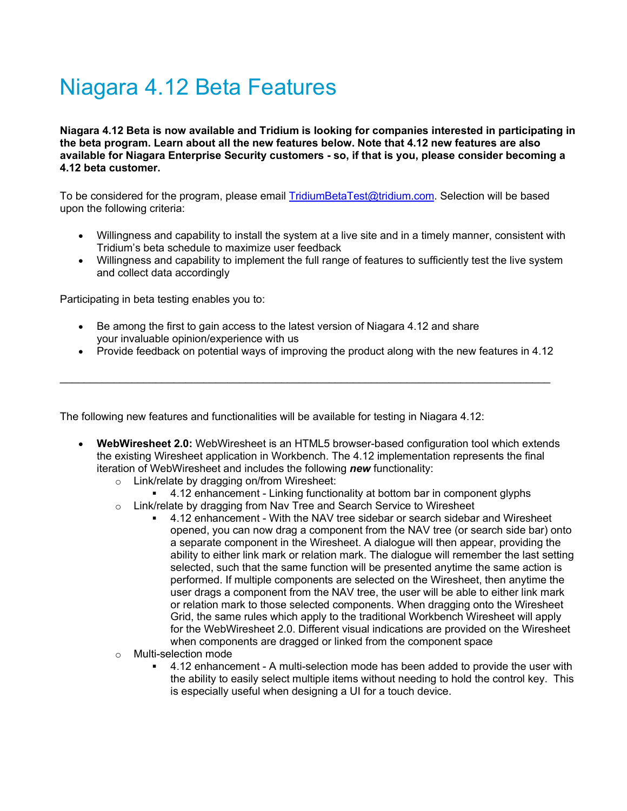## Niagara 4.12 Beta Features

**Niagara 4.12 Beta is now available and Tridium is looking for companies interested in participating in the beta program. Learn about all the new features below. Note that 4.12 new features are also available for Niagara Enterprise Security customers - so, if that is you, please consider becoming a 4.12 beta customer.**

To be considered for the program, please email [TridiumBetaTest@tridium.com.](http://emailto:TridiumBetaTest@tridium.com) Selection will be based upon the following criteria:

- Willingness and capability to install the system at a live site and in a timely manner, consistent with Tridium's beta schedule to maximize user feedback
- Willingness and capability to implement the full range of features to sufficiently test the live system and collect data accordingly

Participating in beta testing enables you to:

- Be among the first to gain access to the latest version of Niagara 4.12 and share your invaluable opinion/experience with us
- Provide feedback on potential ways of improving the product along with the new features in 4.12

 $\mathcal{L}_\text{max} = \frac{1}{2} \sum_{i=1}^{n} \frac{1}{2} \sum_{i=1}^{n} \frac{1}{2} \sum_{i=1}^{n} \frac{1}{2} \sum_{i=1}^{n} \frac{1}{2} \sum_{i=1}^{n} \frac{1}{2} \sum_{i=1}^{n} \frac{1}{2} \sum_{i=1}^{n} \frac{1}{2} \sum_{i=1}^{n} \frac{1}{2} \sum_{i=1}^{n} \frac{1}{2} \sum_{i=1}^{n} \frac{1}{2} \sum_{i=1}^{n} \frac{1}{2} \sum_{i=1}^{n} \frac{1$ 

The following new features and functionalities will be available for testing in Niagara 4.12:

- **WebWiresheet 2.0:** WebWiresheet is an HTML5 browser-based configuration tool which extends the existing Wiresheet application in Workbench. The 4.12 implementation represents the final iteration of WebWiresheet and includes the following *new* functionality:
	- Link/relate by dragging on/from Wiresheet:
		- 4.12 enhancement Linking functionality at bottom bar in component glyphs
	- $\circ$  Link/relate by dragging from Nav Tree and Search Service to Wiresheet
		- 4.12 enhancement With the NAV tree sidebar or search sidebar and Wiresheet opened, you can now drag a component from the NAV tree (or search side bar) onto a separate component in the Wiresheet. A dialogue will then appear, providing the ability to either link mark or relation mark. The dialogue will remember the last setting selected, such that the same function will be presented anytime the same action is performed. If multiple components are selected on the Wiresheet, then anytime the user drags a component from the NAV tree, the user will be able to either link mark or relation mark to those selected components. When dragging onto the Wiresheet Grid, the same rules which apply to the traditional Workbench Wiresheet will apply for the WebWiresheet 2.0. Different visual indications are provided on the Wiresheet when components are dragged or linked from the component space
	- Multi-selection mode
		- 4.12 enhancement A multi-selection mode has been added to provide the user with the ability to easily select multiple items without needing to hold the control key. This is especially useful when designing a UI for a touch device.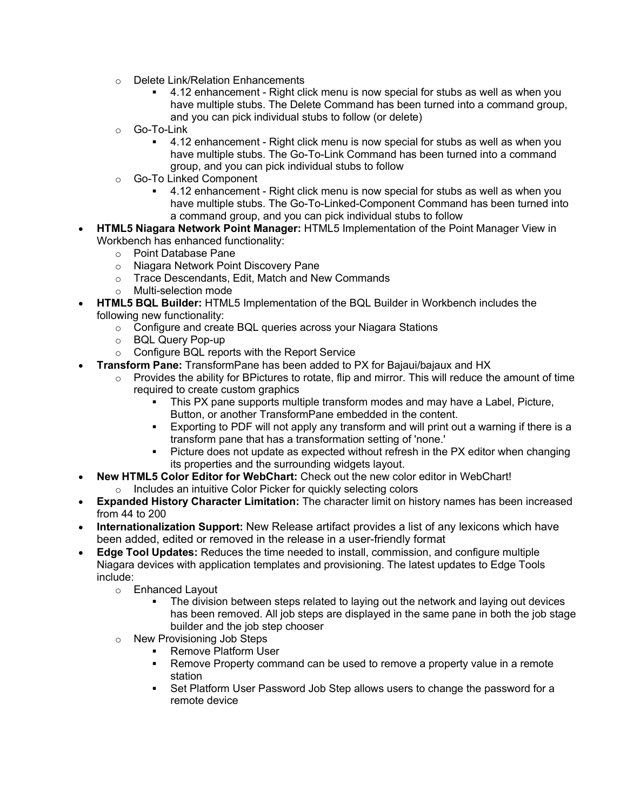- o Delete Link/Relation Enhancements
	- 4.12 enhancement Right click menu is now special for stubs as well as when you have multiple stubs. The Delete Command has been turned into a command group, and you can pick individual stubs to follow (or delete)
- o Go-To-Link
	- 4.12 enhancement Right click menu is now special for stubs as well as when you have multiple stubs. The Go-To-Link Command has been turned into a command group, and you can pick individual stubs to follow
- o Go-To Linked Component
	- 4.12 enhancement Right click menu is now special for stubs as well as when you have multiple stubs. The Go-To-Linked-Component Command has been turned into a command group, and you can pick individual stubs to follow
- **HTML5 Niagara Network Point Manager:** HTML5 Implementation of the Point Manager View in Workbench has enhanced functionality:
	- ⊙ Point Database Pane<br>○ Niagara Network Poin
	- Niagara Network Point Discovery Pane
	- o Trace Descendants, Edit, Match and New Commands
	- o Multi-selection mode
	- **HTML5 BQL Builder:** HTML5 Implementation of the BQL Builder in Workbench includes the following new functionality:
		- o Configure and create BQL queries across your Niagara Stations
		- o BQL Query Pop-up
		- o Configure BQL reports with the Report Service
- **Transform Pane:** TransformPane has been added to PX for Bajaui/bajaux and HX
	- o Provides the ability for BPictures to rotate, flip and mirror. This will reduce the amount of time required to create custom graphics
		- This PX pane supports multiple transform modes and may have a Label, Picture, Button, or another TransformPane embedded in the content.
		- Exporting to PDF will not apply any transform and will print out a warning if there is a transform pane that has a transformation setting of 'none.'
		- Picture does not update as expected without refresh in the PX editor when changing its properties and the surrounding widgets layout.
- **New HTML5 Color Editor for WebChart:** Check out the new color editor in WebChart!
	- o Includes an intuitive Color Picker for quickly selecting colors
- **Expanded History Character Limitation:** The character limit on history names has been increased from 44 to 200
- **Internationalization Support:** New Release artifact provides a list of any lexicons which have been added, edited or removed in the release in a user-friendly format
- **Edge Tool Updates:** Reduces the time needed to install, commission, and configure multiple Niagara devices with application templates and provisioning. The latest updates to Edge Tools include:
	- o Enhanced Layout<br>The divisio
		- The division between steps related to laying out the network and laying out devices has been removed. All job steps are displayed in the same pane in both the job stage builder and the job step chooser
	- o New Provisioning Job Steps
		- Remove Platform User
		- Remove Property command can be used to remove a property value in a remote station
		- **Set Platform User Password Job Step allows users to change the password for a** remote device